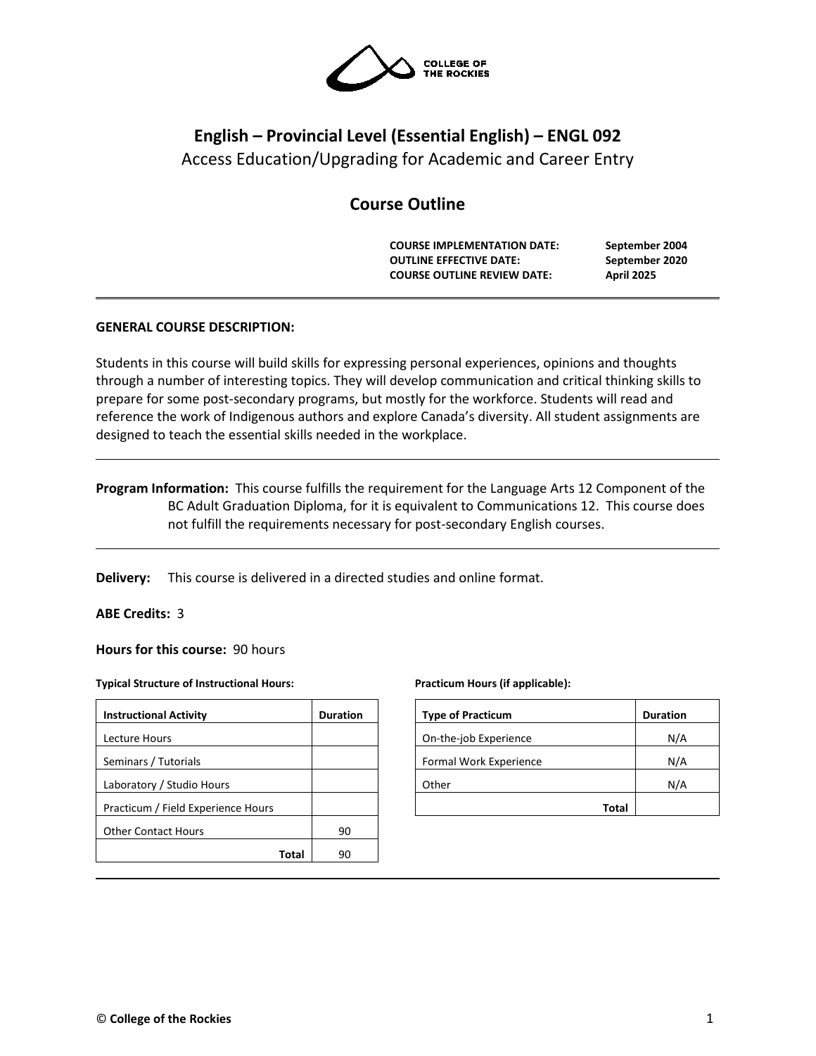

# **English – Provincial Level (Essential English) – ENGL 092** Access Education/Upgrading for Academic and Career Entry

# **Course Outline**

**COURSE IMPLEMENTATION DATE: September 2004 OUTLINE EFFECTIVE DATE: September 2020 COURSE OUTLINE REVIEW DATE: April 2025**

# **GENERAL COURSE DESCRIPTION:**

Students in this course will build skills for expressing personal experiences, opinions and thoughts through a number of interesting topics. They will develop communication and critical thinking skills to prepare for some post-secondary programs, but mostly for the workforce. Students will read and reference the work of Indigenous authors and explore Canada's diversity. All student assignments are designed to teach the essential skills needed in the workplace.

**Program Information:** This course fulfills the requirement for the Language Arts 12 Component of the BC Adult Graduation Diploma, for it is equivalent to Communications 12. This course does not fulfill the requirements necessary for post-secondary English courses.

**Delivery:** This course is delivered in a directed studies and online format.

### **ABE Credits:** 3

**Hours for this course:** 90 hours

#### **Typical Structure of Instructional Hours:**

| <b>Instructional Activity</b>      | <b>Duration</b> |
|------------------------------------|-----------------|
| Lecture Hours                      |                 |
| Seminars / Tutorials               |                 |
| Laboratory / Studio Hours          |                 |
| Practicum / Field Experience Hours |                 |
| <b>Other Contact Hours</b>         | 90              |
| Total                              | 90              |

#### **Practicum Hours (if applicable):**

| <b>Type of Practicum</b> | <b>Duration</b> |
|--------------------------|-----------------|
| On-the-job Experience    | N/A             |
| Formal Work Experience   | N/A             |
| Other                    | N/A             |
| Total                    |                 |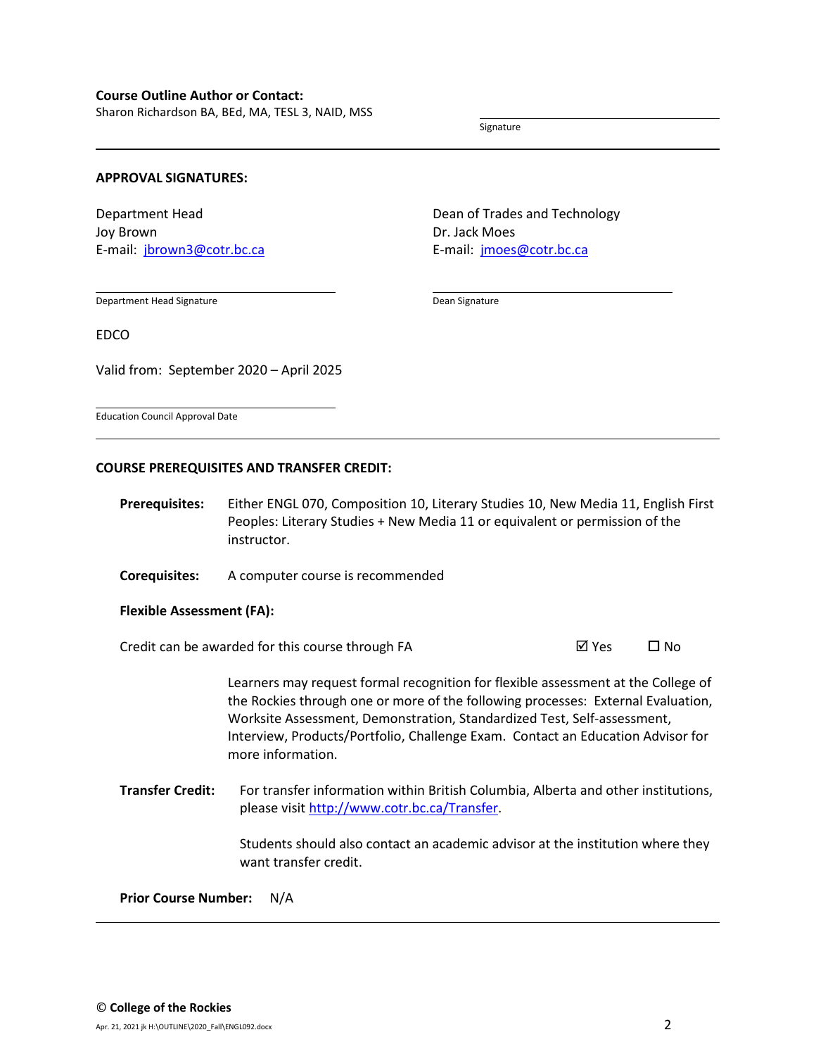Sharon Richardson BA, BEd, MA, TESL 3, NAID, MSS

Signature

#### **APPROVAL SIGNATURES:**

Department Head Joy Brown E-mail: [jbrown3@cotr.bc.ca](mailto:jbrown3@cotr.bc.ca) Dean of Trades and Technology Dr. Jack Moes E-mail: [jmoes@cotr.bc.ca](mailto:jmoes@cotr.bc.ca)

Department Head Signature

Dean Signature

EDCO

Valid from: September 2020 – April 2025

Education Council Approval Date

#### **COURSE PREREQUISITES AND TRANSFER CREDIT:**

- **Prerequisites:** Either ENGL 070, Composition 10, Literary Studies 10, New Media 11, English First Peoples: Literary Studies + New Media 11 or equivalent or permission of the instructor.
- **Corequisites:** A computer course is recommended

**Flexible Assessment (FA):**

Credit can be awarded for this course through FA  $\boxtimes$  Yes  $\Box$  No

Learners may request formal recognition for flexible assessment at the College of the Rockies through one or more of the following processes: External Evaluation, Worksite Assessment, Demonstration, Standardized Test, Self-assessment, Interview, Products/Portfolio, Challenge Exam. Contact an Education Advisor for more information.

**Transfer Credit:** For transfer information within British Columbia, Alberta and other institutions, please visit [http://www.cotr.bc.ca/Transfer.](http://www.cotr.bc.ca/Transfer)

> Students should also contact an academic advisor at the institution where they want transfer credit.

**Prior Course Number:** N/A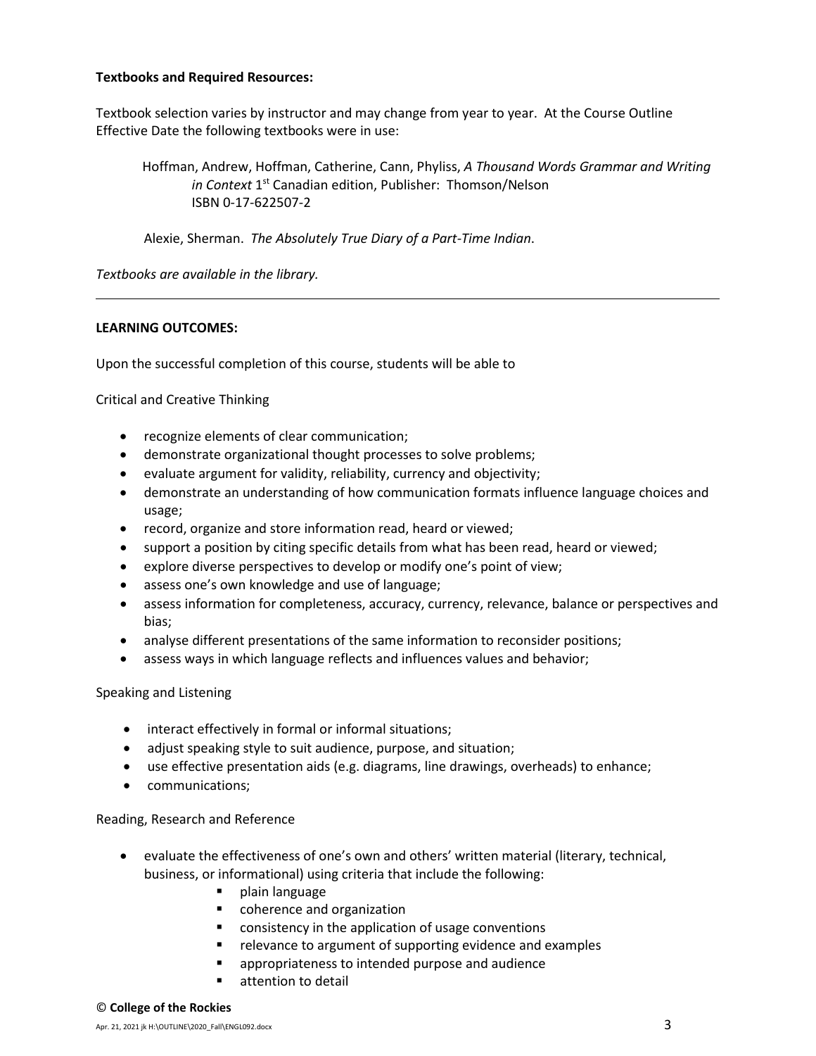## **Textbooks and Required Resources:**

Textbook selection varies by instructor and may change from year to year. At the Course Outline Effective Date the following textbooks were in use:

Hoffman, Andrew, Hoffman, Catherine, Cann, Phyliss, *A Thousand Words Grammar and Writing in Context* 1<sup>st</sup> Canadian edition, Publisher: Thomson/Nelson ISBN 0-17-622507-2

Alexie, Sherman. *The Absolutely True Diary of a Part-Time Indian*.

*Textbooks are available in the library.*

## **LEARNING OUTCOMES:**

Upon the successful completion of this course, students will be able to

Critical and Creative Thinking

- recognize elements of clear communication;
- demonstrate organizational thought processes to solve problems;
- evaluate argument for validity, reliability, currency and objectivity;
- demonstrate an understanding of how communication formats influence language choices and usage;
- record, organize and store information read, heard or viewed;
- support a position by citing specific details from what has been read, heard or viewed;
- explore diverse perspectives to develop or modify one's point of view;
- assess one's own knowledge and use of language;
- assess information for completeness, accuracy, currency, relevance, balance or perspectives and bias;
- analyse different presentations of the same information to reconsider positions;
- assess ways in which language reflects and influences values and behavior;

Speaking and Listening

- interact effectively in formal or informal situations;
- adjust speaking style to suit audience, purpose, and situation;
- use effective presentation aids (e.g. diagrams, line drawings, overheads) to enhance;
- communications;

Reading, Research and Reference

- evaluate the effectiveness of one's own and others' written material (literary, technical, business, or informational) using criteria that include the following:
	- plain language
	- coherence and organization
	- consistency in the application of usage conventions
	- **F** relevance to argument of supporting evidence and examples
	- appropriateness to intended purpose and audience
	- **E** attention to detail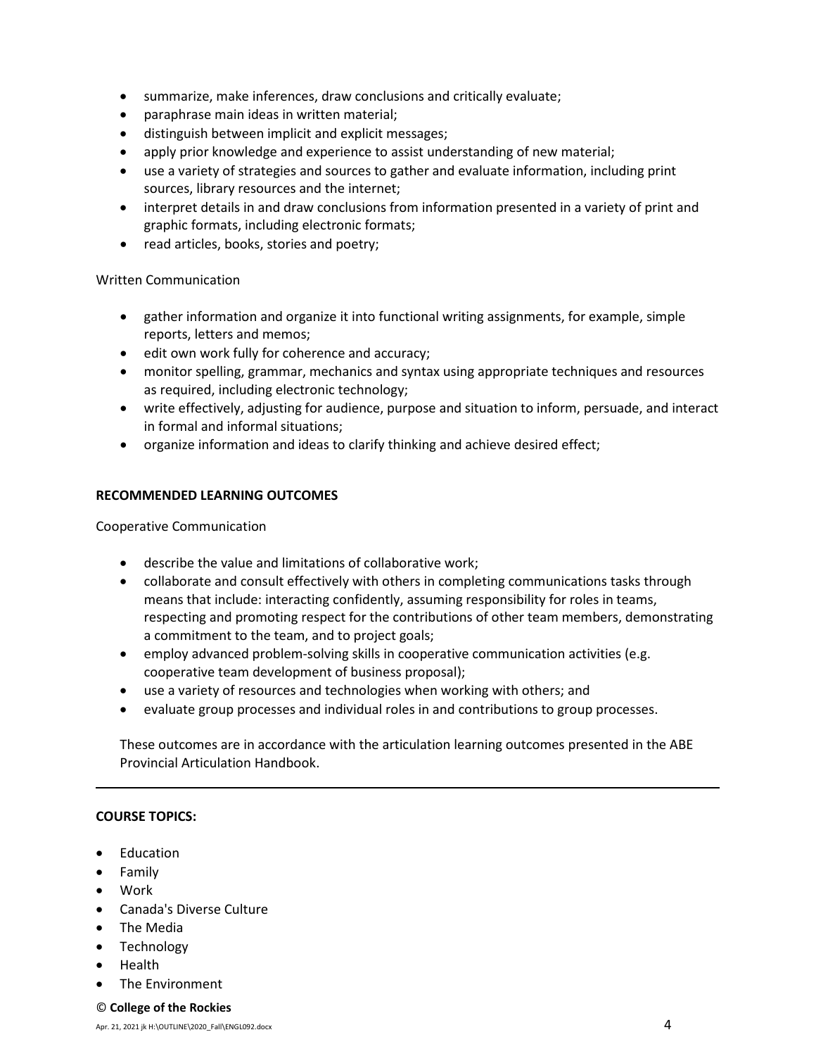- summarize, make inferences, draw conclusions and critically evaluate;
- paraphrase main ideas in written material;
- distinguish between implicit and explicit messages;
- apply prior knowledge and experience to assist understanding of new material;
- use a variety of strategies and sources to gather and evaluate information, including print sources, library resources and the internet;
- interpret details in and draw conclusions from information presented in a variety of print and graphic formats, including electronic formats;
- read articles, books, stories and poetry;

# Written Communication

- gather information and organize it into functional writing assignments, for example, simple reports, letters and memos;
- edit own work fully for coherence and accuracy;
- monitor spelling, grammar, mechanics and syntax using appropriate techniques and resources as required, including electronic technology;
- write effectively, adjusting for audience, purpose and situation to inform, persuade, and interact in formal and informal situations;
- organize information and ideas to clarify thinking and achieve desired effect;

# **RECOMMENDED LEARNING OUTCOMES**

Cooperative Communication

- describe the value and limitations of collaborative work;
- collaborate and consult effectively with others in completing communications tasks through means that include: interacting confidently, assuming responsibility for roles in teams, respecting and promoting respect for the contributions of other team members, demonstrating a commitment to the team, and to project goals;
- employ advanced problem-solving skills in cooperative communication activities (e.g. cooperative team development of business proposal);
- use a variety of resources and technologies when working with others; and
- evaluate group processes and individual roles in and contributions to group processes.

These outcomes are in accordance with the articulation learning outcomes presented in the ABE Provincial Articulation Handbook.

# **COURSE TOPICS:**

- Education
- Family
- Work
- Canada's Diverse Culture
- The Media
- Technology
- Health
- The Environment

### © **College of the Rockies**

Apr. 21, 2021 jk H:\OUTLINE\2020\_Fall\ENGL092.docx  $4$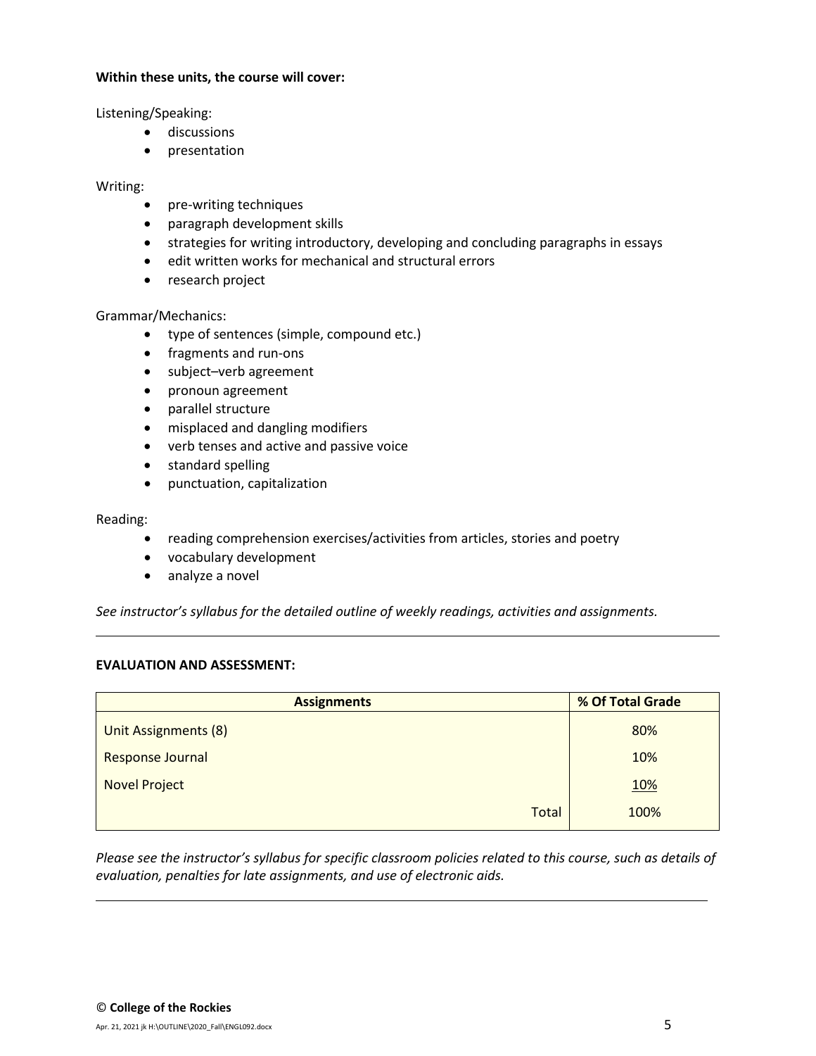## **Within these units, the course will cover:**

Listening/Speaking:

- discussions
- presentation

# Writing:

- pre-writing techniques
- paragraph development skills
- strategies for writing introductory, developing and concluding paragraphs in essays
- edit written works for mechanical and structural errors
- research project

# Grammar/Mechanics:

- type of sentences (simple, compound etc.)
- fragments and run-ons
- subject–verb agreement
- pronoun agreement
- parallel structure
- misplaced and dangling modifiers
- verb tenses and active and passive voice
- standard spelling
- punctuation, capitalization

## Reading:

- reading comprehension exercises/activities from articles, stories and poetry
- vocabulary development
- analyze a novel

*See instructor's syllabus for the detailed outline of weekly readings, activities and assignments.* 

### **EVALUATION AND ASSESSMENT:**

| <b>Assignments</b>   | % Of Total Grade |  |  |
|----------------------|------------------|--|--|
| Unit Assignments (8) | 80%              |  |  |
| Response Journal     | 10%              |  |  |
| <b>Novel Project</b> | <u>10%</u>       |  |  |
| <b>Total</b>         | 100%             |  |  |

*Please see the instructor's syllabus for specific classroom policies related to this course, such as details of evaluation, penalties for late assignments, and use of electronic aids.*